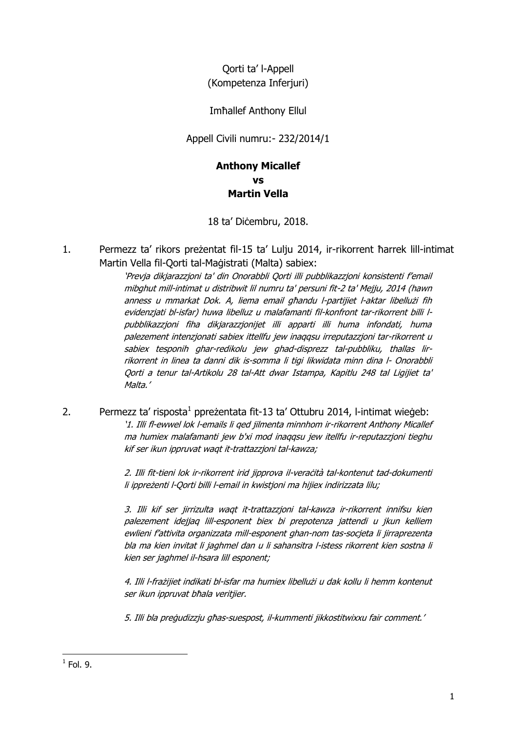Qorti ta' l-Appell (Kompetenza Inferjuri)

Imħallef Anthony Ellul

Appell Civili numru:- 232/2014/1

## **Anthony Micallef vs Martin Vella**

18 ta' Diċembru, 2018.

1. Permezz ta' rikors preżentat fil-15 ta' Lulju 2014, ir-rikorrent ħarrek lill-intimat Martin Vella fil-Qorti tal-Maġistrati (Malta) sabiex:

> 'Prevja dikjarazzjoni ta' din Onorabbli Qorti illi pubblikazzjoni konsistenti f'email mibghut mill-intimat u distribwit lil numru ta' persuni fit-2 ta' Mejju, 2014 (hawn anness u mmarkat Dok. A, liema email għandu l-partijiet l-aktar libellużi fih evidenzjati bl-isfar) huwa libelluz u malafamanti fil-konfront tar-rikorrent billi lpubblikazzjoni fiha dikjarazzjonijet illi apparti illi huma infondati, huma palezement intenzjonati sabiex ittellfu jew inaqqsu irreputazzjoni tar-rikorrent u sabiex tesponih ghar-redikolu jew ghad-disprezz tal-pubbliku, thallas lirrikorrent in linea ta danni dik is-somma li tigi likwidata minn dina l- Onorabbli Qorti a tenur tal-Artikolu 28 tal-Att dwar Istampa, Kapitlu 248 tal Ligijiet ta' Malta.'

2. Permezz ta' risposta<sup>1</sup> ppreżentata fit-13 ta' Ottubru 2014, l-intimat wieġeb: '1. Illi fl-ewwel lok l-emails li qed jilmenta minnhom ir-rikorrent Anthony Micallef ma humiex malafamanti jew b'xi mod inaqqsu jew itellfu ir-reputazzjoni tieghu kif ser ikun ippruvat waqt it-trattazzjoni tal-kawza;

> 2. Illi fit-tieni lok ir-rikorrent irid jipprova il-veraċità tal-kontenut tad-dokumenti li ippreżenti l-Qorti billi l-email in kwistjoni ma hijiex indirizzata lilu;

> 3. Illi kif ser jirrizulta waqt it-trattazzjoni tal-kawza ir-rikorrent innifsu kien palezement idejjaq lill-esponent biex bi prepotenza jattendi u jkun kelliem ewlieni f'attivita organizzata mill-esponent ghan-nom tas-socjeta li jirraprezenta bla ma kien invitat li jaghmel dan u li sahansitra l-istess rikorrent kien sostna li kien ser jaghmel il-hsara lill esponent;

> 4. Illi l-frażijiet indikati bl-isfar ma humiex libellużi u dak kollu li hemm kontenut ser ikun ippruvat bħala veritjier.

5. Illi bla preġudizzju għas-suespost, il-kummenti jikkostitwixxu fair comment.'

**<sup>.</sup>**  $<sup>1</sup>$  Fol. 9.</sup>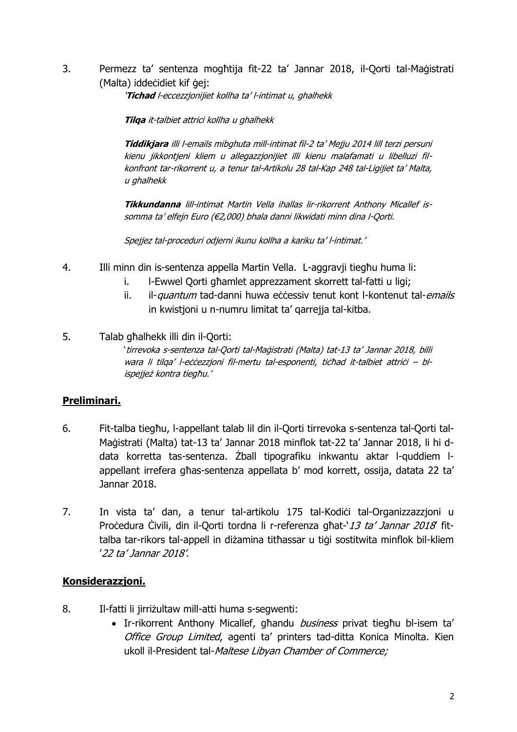3. Permezz ta' sentenza mogħtija fit-22 ta' Jannar 2018, il-Qorti tal-Maġistrati (Malta) iddeċidiet kif ġej:

'**Tichad** l-eccezzjonijiet kollha ta' l-intimat u, ghalhekk

**Tilqa** it-talbiet attrici kollha u ghalhekk

**Tiddikjara** illi l-emails mibghuta mill-intimat fil-2 ta' Mejju 2014 lill terzi persuni kienu jikkontjeni kliem u allegazzjonijiet illi kienu malafamati u libelluzi filkonfront tar-rikorrent u, a tenur tal-Artikolu 28 tal-Kap 248 tal-Ligijiet ta' Malta, u ghalhekk

**Tikkundanna** lill-intimat Martin Vella ihallas lir-rikorrent Anthony Micallef issomma ta' elfejn Euro (€2,000) bhala danni likwidati minn dina l-Qorti.

Spejjez tal-proceduri odjerni ikunu kollha a kariku ta' l-intimat.'

- 4. Illi minn din is-sentenza appella Martin Vella. L-aggravji tiegħu huma li:
	- i. l-Ewwel Qorti għamlet apprezzament skorrett tal-fatti u ligi;
	- ii. il-quantum tad-danni huwa eċċessiv tenut kont l-kontenut tal-emails in kwistjoni u n-numru limitat ta' qarrejja tal-kitba.

5. Talab għalhekk illi din il-Qorti: 'tirrevoka s-sentenza tal-Qorti tal-Maġistrati (Malta) tat-13 ta' Jannar 2018, billi wara li tilga' l-eċċezzjoni fil-mertu tal-esponenti, tiċħad it-talbiet attriċi – blispejjeż kontra tiegħu.'

## **Preliminari.**

- 6. Fit-talba tiegħu, l-appellant talab lil din il-Qorti tirrevoka s-sentenza tal-Qorti tal-Maġistrati (Malta) tat-13 ta' Jannar 2018 minflok tat-22 ta' Jannar 2018, li hi ddata korretta tas-sentenza. Żball tipografiku inkwantu aktar l-quddiem lappellant irrefera għas-sentenza appellata b' mod korrett, ossija, datata 22 ta' Jannar 2018.
- 7. In vista ta' dan, a tenur tal-artikolu 175 tal-Kodići tal-Organizzazzioni u Procedura Civili, din il-Qorti tordna li r-referenza għat-'13 ta' Jannar 2018 fittalba tar-rikors tal-appell in diżamina titħassar u tiġi sostitwita minflok bil-kliem '22 ta' Jannar 2018'.

## **Konsiderazzjoni.**

- 8. Il-fatti li jirriżultaw mill-atti huma s-segwenti:
	- Ir-rikorrent Anthony Micallef, għandu business privat tiegħu bl-isem ta' Office Group Limited, agenti ta' printers tad-ditta Konica Minolta. Kien ukoll il-President tal-Maltese Libyan Chamber of Commerce;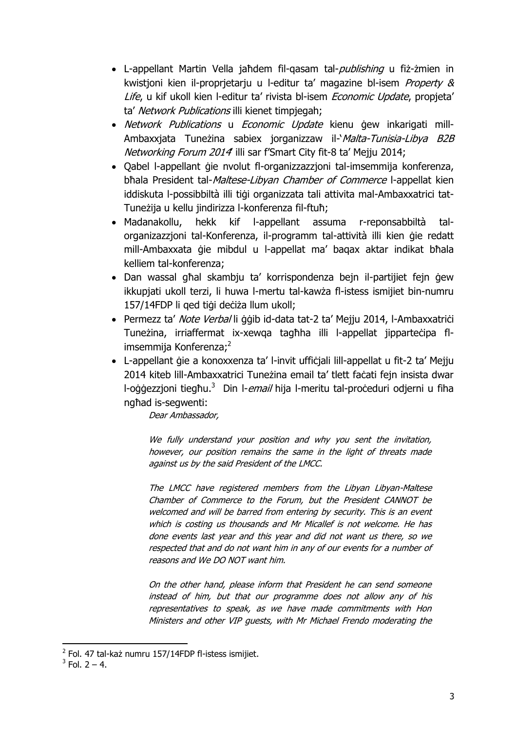- L-appellant Martin Vella jaħdem fil-gasam tal-*publishing* u fiż-żmien in kwistjoni kien il-proprjetarju u l-editur ta' magazine bl-isem Property & Life, u kif ukoll kien l-editur ta' rivista bl-isem Economic Update, propjeta' ta' Network Publications illi kienet timpiegah;
- Network Publications u Economic Update kienu gew inkarigati mill-Ambaxxjata Tuneżina sabiex jorganizzaw il-*`Malta-Tunisia-Libya B2B* Networking Forum 2014 illi sar f'Smart City fit-8 ta' Mejju 2014;
- Qabel l-appellant ġie nvolut fl-organizzazzjoni tal-imsemmija konferenza, bħala President tal-Maltese-Libyan Chamber of Commerce l-appellat kien iddiskuta l-possibbiltà illi tiġi organizzata tali attivita mal-Ambaxxatrici tat-Tuneżija u kellu jindirizza l-konferenza fil-ftuħ;
- Madanakollu, hekk kif l-appellant assuma r-reponsabbiltà talorganizazzjoni tal-Konferenza, il-programm tal-attività illi kien ġie redatt mill-Ambaxxata ġie mibdul u l-appellat ma' baqax aktar indikat bħala kelliem tal-konferenza;
- Dan wassal għal skambju ta' korrispondenza bejn il-partijiet fejn ġew ikkupjati ukoll terzi, li huwa l-mertu tal-kawża fl-istess ismijiet bin-numru 157/14FDP li qed tiġi deċiża llum ukoll;
- Permezz ta' Note Verbal li ġġib id-data tat-2 ta' Mejju 2014, l-Ambaxxatriċi Tuneżina, irriaffermat ix-xewqa tagħha illi l-appellat jipparteċipa flimsemmija Konferenza; 2
- L-appellant ġie a konoxxenza ta' l-invit uffiċjali lill-appellat u fit-2 ta' Mejju 2014 kiteb lill-Ambaxxatrici Tuneżina email ta' tlett faċati fejn insista dwar l-oġġezzjoni tiegħu.<sup>3</sup> Din l-*email* hija l-meritu tal-proċeduri odjerni u fiha ngħad is-segwenti:

Dear Ambassador,

We fully understand your position and why you sent the invitation, however, our position remains the same in the light of threats made against us by the said President of the LMCC.

The LMCC have registered members from the Libyan Libyan-Maltese Chamber of Commerce to the Forum, but the President CANNOT be welcomed and will be barred from entering by security. This is an event which is costing us thousands and Mr Micallef is not welcome. He has done events last year and this year and did not want us there, so we respected that and do not want him in any of our events for a number of reasons and We DO NOT want him.

On the other hand, please inform that President he can send someone instead of him, but that our programme does not allow any of his representatives to speak, as we have made commitments with Hon Ministers and other VIP guests, with Mr Michael Frendo moderating the

**<sup>.</sup>** <sup>2</sup> Fol. 47 tal-każ numru 157/14FDP fl-istess ismijiet.

 $3$  Fol. 2 – 4.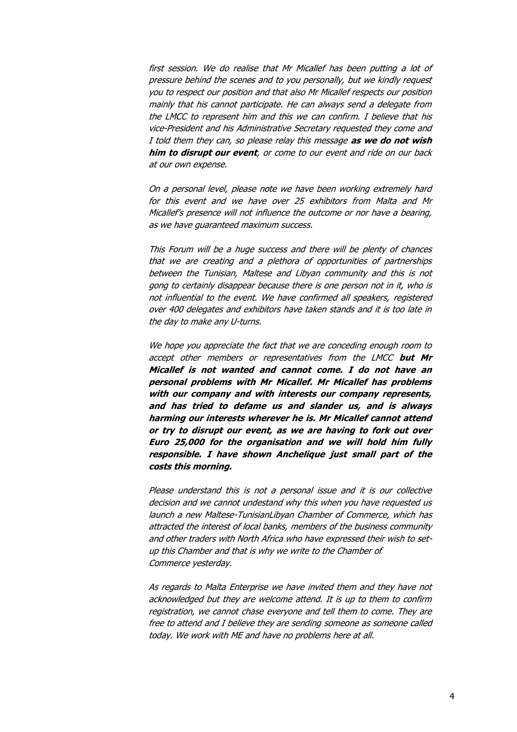first session. We do realise that Mr Micallef has been putting a lot of pressure behind the scenes and to you personally, but we kindly request you to respect our position and that also Mr Micallef respects our position mainly that his cannot participate. He can always send a delegate from the LMCC to represent him and this we can confirm. I believe that his vice-President and his Administrative Secretary requested they come and I told them they can, so please relay this message **as we do not wish him to disrupt our event**, or come to our event and ride on our back at our own expense.

On a personal level, please note we have been working extremely hard for this event and we have over 25 exhibitors from Malta and Mr Micallef's presence will not influence the outcome or nor have a bearing, as we have guaranteed maximum success.

This Forum will be a huge success and there will be plenty of chances that we are creating and a plethora of opportunities of partnerships between the Tunisian, Maltese and Libyan community and this is not gong to certainly disappear because there is one person not in it, who is not influential to the event. We have confirmed all speakers, registered over 400 delegates and exhibitors have taken stands and it is too late in the day to make any U-turns.

We hope you appreciate the fact that we are conceding enough room to accept other members or representatives from the LMCC **but Mr Micallef is not wanted and cannot come. I do not have an personal problems with Mr Micallef. Mr Micallef has problems with our company and with interests our company represents, and has tried to defame us and slander us, and is always harming our interests wherever he is. Mr Micallef cannot attend or try to disrupt our event, as we are having to fork out over Euro 25,000 for the organisation and we will hold him fully responsible. I have shown Anchelique just small part of the costs this morning.**

Please understand this is not a personal issue and it is our collective decision and we cannot undestand why this when you have requested us launch a new Maltese-TunisianLibyan Chamber of Commerce, which has attracted the interest of local banks, members of the business community and other traders with North Africa who have expressed their wish to setup this Chamber and that is why we write to the Chamber of Commerce yesterday.

As regards to Malta Enterprise we have invited them and they have not acknowledged but they are welcome attend. It is up to them to confirm registration, we cannot chase everyone and tell them to come. They are free to attend and I believe they are sending someone as someone called today. We work with ME and have no problems here at all.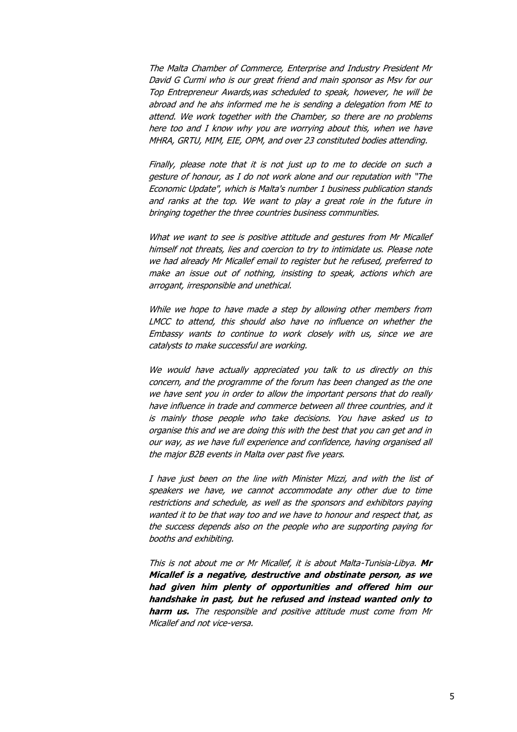The Malta Chamber of Commerce, Enterprise and Industry President Mr David G Curmi who is our great friend and main sponsor as Msv for our Top Entrepreneur Awards,was scheduled to speak, however, he will be abroad and he ahs informed me he is sending a delegation from ME to attend. We work together with the Chamber, so there are no problems here too and I know why you are worrying about this, when we have MHRA, GRTU, MIM, EIE, OPM, and over 23 constituted bodies attending.

Finally, please note that it is not just up to me to decide on such a gesture of honour, as I do not work alone and our reputation with "The Economic Update", which is Malta's number 1 business publication stands and ranks at the top. We want to play a great role in the future in bringing together the three countries business communities.

What we want to see is positive attitude and gestures from Mr Micallef himself not threats, lies and coercion to try to intimidate us. Please note we had already Mr Micallef email to register but he refused, preferred to make an issue out of nothing, insisting to speak, actions which are arrogant, irresponsible and unethical.

While we hope to have made a step by allowing other members from LMCC to attend, this should also have no influence on whether the Embassy wants to continue to work closely with us, since we are catalysts to make successful are working.

We would have actually appreciated you talk to us directly on this concern, and the programme of the forum has been changed as the one we have sent you in order to allow the important persons that do really have influence in trade and commerce between all three countries, and it is mainly those people who take decisions. You have asked us to organise this and we are doing this with the best that you can get and in our way, as we have full experience and confidence, having organised all the major B2B events in Malta over past five years.

I have just been on the line with Minister Mizzi, and with the list of speakers we have, we cannot accommodate any other due to time restrictions and schedule, as well as the sponsors and exhibitors paying wanted it to be that way too and we have to honour and respect that, as the success depends also on the people who are supporting paying for booths and exhibiting.

This is not about me or Mr Micallef, it is about Malta-Tunisia-Libya. **Mr Micallef is a negative, destructive and obstinate person, as we had given him plenty of opportunities and offered him our handshake in past, but he refused and instead wanted only to harm us.** The responsible and positive attitude must come from Mr Micallef and not vice-versa.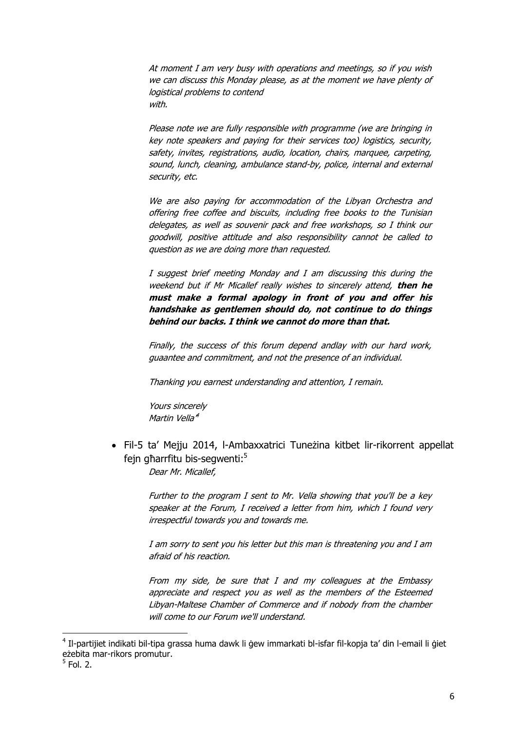At moment I am very busy with operations and meetings, so if you wish we can discuss this Monday please, as at the moment we have plenty of logistical problems to contend with.

Please note we are fully responsible with programme (we are bringing in key note speakers and paying for their services too) logistics, security, safety, invites, registrations, audio, location, chairs, marquee, carpeting, sound, lunch, cleaning, ambulance stand-by, police, internal and external security, etc.

We are also paying for accommodation of the Libyan Orchestra and offering free coffee and biscuits, including free books to the Tunisian delegates, as well as souvenir pack and free workshops, so I think our goodwill, positive attitude and also responsibility cannot be called to question as we are doing more than requested.

I suggest brief meeting Monday and I am discussing this during the weekend but if Mr Micallef really wishes to sincerely attend, **then he must make a formal apology in front of you and offer his handshake as gentlemen should do, not continue to do things behind our backs. I think we cannot do more than that.**

Finally, the success of this forum depend andlay with our hard work, guaantee and commitment, and not the presence of an individual.

Thanking you earnest understanding and attention, I remain.

Yours sincerely Martin Vella<sup>4</sup>

 Fil-5 ta' Mejju 2014, l-Ambaxxatrici Tuneżina kitbet lir-rikorrent appellat fejn għarrfitu bis-segwenti:<sup>5</sup>

Dear Mr. Micallef,

Further to the program I sent to Mr. Vella showing that you'll be a key speaker at the Forum, I received a letter from him, which I found very irrespectful towards you and towards me.

I am sorry to sent you his letter but this man is threatening you and I am afraid of his reaction.

From my side, be sure that I and my colleagues at the Embassy appreciate and respect you as well as the members of the Esteemed Libyan-Maltese Chamber of Commerce and if nobody from the chamber will come to our Forum we'll understand.

**.** 

<sup>&</sup>lt;sup>4</sup> Il-partijiet indikati bil-tipa grassa huma dawk li ġew immarkati bl-isfar fil-kopja ta' din l-email li ġiet eżebita mar-rikors promutur.

<sup>5</sup> Fol. 2.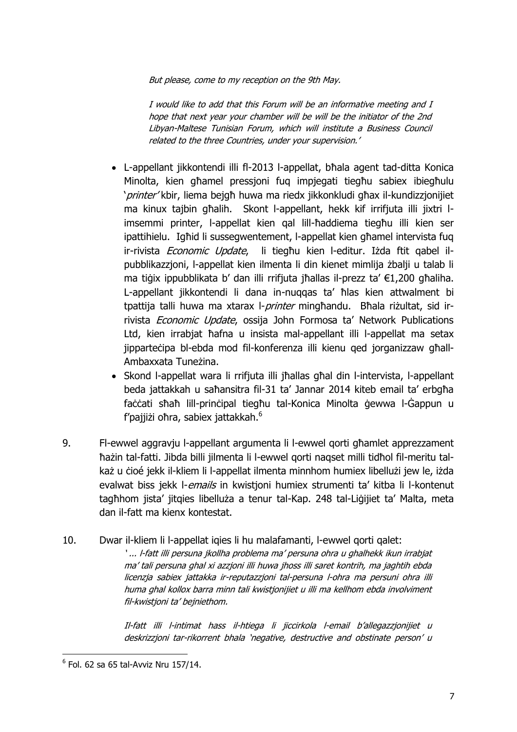But please, come to my reception on the 9th May.

I would like to add that this Forum will be an informative meeting and I hope that next year your chamber will be will be the initiator of the 2nd Libyan-Maltese Tunisian Forum, which will institute a Business Council related to the three Countries, under your supervision.'

- L-appellant jikkontendi illi fl-2013 l-appellat, bħala agent tad-ditta Konica Minolta, kien għamel pressjoni fuq impjegati tiegħu sabiex ibiegħulu 'printer' kbir, liema bejgħ huwa ma riedx jikkonkludi għax il-kundizzjonijiet ma kinux tajbin għalih. Skont l-appellant, hekk kif irrifjuta illi jixtri limsemmi printer, l-appellat kien qal lill-ħaddiema tiegħu illi kien ser ipattihielu. Igħid li sussegwentement, l-appellat kien għamel intervista fuq ir-rivista Economic Update, li tiegħu kien l-editur. Iżda ftit qabel ilpubblikazzjoni, l-appellat kien ilmenta li din kienet mimlija żbalji u talab li ma tiġix ippubblikata b' dan illi rrifjuta jħallas il-prezz ta' €1,200 għaliha. L-appellant jikkontendi li dana in-nuqqas ta' ħlas kien attwalment bi tpattija talli huwa ma xtarax l-*printer* mingħandu. Bħala riżultat, sid irrivista Economic Update, ossija John Formosa ta' Network Publications Ltd, kien irrabjat ħafna u insista mal-appellant illi l-appellat ma setax jipparteċipa bl-ebda mod fil-konferenza illi kienu qed jorganizzaw għall-Ambaxxata Tuneżina.
- Skond l-appellat wara li rrifjuta illi jħallas għal din l-intervista, l-appellant beda jattakkah u saħansitra fil-31 ta' Jannar 2014 kiteb email ta' erbgħa faċċati sħaħ lill-prinċipal tiegħu tal-Konica Minolta ġewwa l-Ġappun u f'pajjiżi oħra, sabiex jattakkah.<sup>6</sup>
- 9. Fl-ewwel aggravju l-appellant argumenta li l-ewwel qorti għamlet apprezzament ħażin tal-fatti. Jibda billi jilmenta li l-ewwel qorti naqset milli tidħol fil-meritu talkaż u cioé jekk il-kliem li l-appellat ilmenta minnhom humiex libellużi jew le, iżda evalwat biss jekk l-*emails* in kwistjoni humiex strumenti ta' kitba li l-kontenut tagħhom jista' jitqies libelluża a tenur tal-Kap. 248 tal-Liġijiet ta' Malta, meta dan il-fatt ma kienx kontestat.
- 10. Dwar il-kliem li l-appellat iqies li hu malafamanti, l-ewwel qorti qalet: ' ... l-fatt illi persuna jkollha problema ma' persuna ohra u ghalhekk ikun irrabjat ma' tali persuna ghal xi azzjoni illi huwa jhoss illi saret kontrih, ma jaghtih ebda licenzja sabiex jattakka ir-reputazzjoni tal-persuna l-ohra ma persuni ohra illi huma ghal kollox barra minn tali kwistjonijiet u illi ma kellhom ebda involviment fil-kwistjoni ta' bejniethom.

Il-fatt illi l-intimat hass il-htiega li jiccirkola l-email b'allegazzjonijiet u deskrizzjoni tar-rikorrent bhala 'negative, destructive and obstinate person' u

**.** 

 $6$  Fol. 62 sa 65 tal-Avviz Nru 157/14.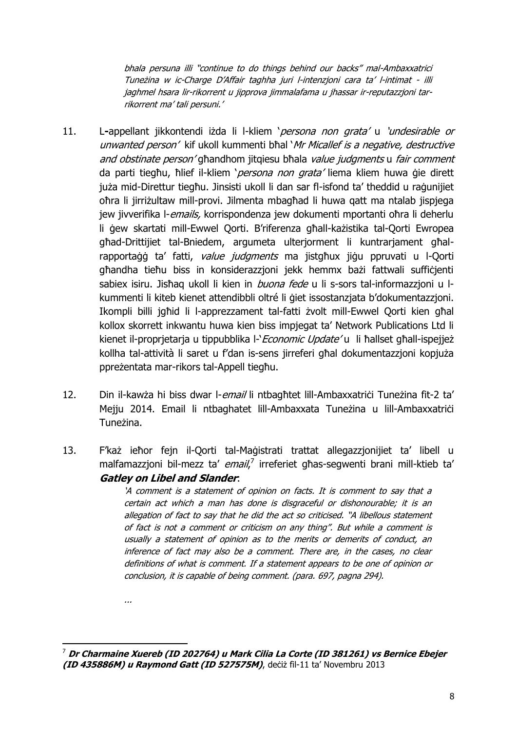bhala persuna illi "continue to do things behind our backs" mal-Ambaxxatrici Tuneżina w ic-Charge D'Affair taghha juri l-intenzjoni cara ta' l-intimat - illi jaghmel hsara lir-rikorrent u jipprova jimmalafama u jhassar ir-reputazzjoni tarrikorrent ma' tali persuni.'

- 11. L**-**appellant jikkontendi iżda li l-kliem 'persona non grata' u 'undesirable or unwanted person' kif ukoll kummenti bħal 'Mr Micallef is a negative, destructive and obstinate person' għandhom jitgiesu bħala value judgments u fair comment da parti tiegħu, ħlief il-kliem '*persona non grata'* liema kliem huwa gie dirett juża mid-Direttur tiegħu. Jinsisti ukoll li dan sar fl-isfond ta' theddid u raġunijiet oħra li jirriżultaw mill-provi. Jilmenta mbagħad li huwa qatt ma ntalab jispjega jew jivverifika l-*emails*, korrispondenza jew dokumenti mportanti oħra li deherlu li ġew skartati mill-Ewwel Qorti. B'riferenza għall-każistika tal-Qorti Ewropea għad-Drittijiet tal-Bniedem, argumeta ulterjorment li kuntrarjament għalrapportaġġ ta' fatti, value judgments ma jistgħux jiġu ppruvati u l-Qorti għandha tieħu biss in konsiderazzjoni jekk hemmx bażi fattwali suffiċjenti sabiex isiru. Jishaq ukoll li kien in *buona fede* u li s-sors tal-informazzjoni u lkummenti li kiteb kienet attendibbli oltré li ġiet issostanzjata b'dokumentazzjoni. Ikompli billi jgħid li l-apprezzament tal-fatti żvolt mill-Ewwel Qorti kien għal kollox skorrett inkwantu huwa kien biss impjegat ta' Network Publications Ltd li kienet il-proprjetarja u tippubblika l-'*Economic Update'* u li ħallset għall-ispejjeż kollha tal-attività li saret u f'dan is-sens jirreferi għal dokumentazzjoni kopjuża ppreżentata mar-rikors tal-Appell tiegħu.
- 12. Din il-kawża hi biss dwar l-email li ntbagħtet lill-Ambaxxatriċi Tuneżina fit-2 ta' Mejju 2014. Email li ntbaghatet lill-Ambaxxata Tuneżina u lill-Ambaxxatrići Tuneżina.
- 13. F'każ ieħor fejn il-Qorti tal-Maġistrati trattat allegazzjonijiet ta' libell u malfamazzjoni bil-mezz ta' email,<sup>7</sup> irreferiet għas-segwenti brani mill-ktieb ta' **Gatley on Libel and Slander**:

'A comment is a statement of opinion on facts. It is comment to say that a certain act which a man has done is disgraceful or dishonourable; it is an allegation of fact to say that he did the act so criticised. "A libellous statement of fact is not a comment or criticism on any thing". But while a comment is usually a statement of opinion as to the merits or demerits of conduct, an inference of fact may also be a comment. There are, in the cases, no clear definitions of what is comment. If a statement appears to be one of opinion or conclusion, it is capable of being comment. (para. 697, pagna 294).

...

**<sup>.</sup>** <sup>7</sup> **Dr Charmaine Xuereb (ID 202764) u Mark Cilia La Corte (ID 381261) vs Bernice Ebejer (ID 435886M) u Raymond Gatt (ID 527575M)**, deċiż fil-11 ta' Novembru 2013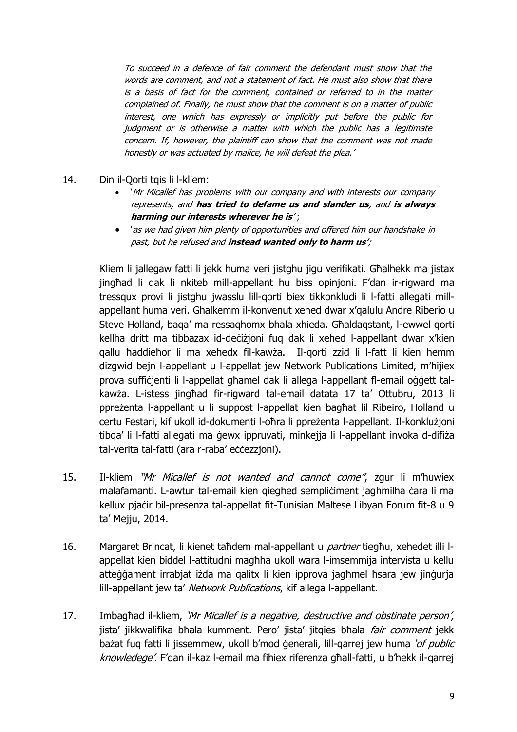To succeed in a defence of fair comment the defendant must show that the words are comment, and not a statement of fact. He must also show that there is a basis of fact for the comment, contained or referred to in the matter complained of. Finally, he must show that the comment is on a matter of public interest, one which has expressly or implicitly put before the public for judgment or is otherwise a matter with which the public has a legitimate concern. If, however, the plaintiff can show that the comment was not made honestly or was actuated by malice, he will defeat the plea.'

- 14. Din il-Qorti tqis li l-kliem:
	- 'Mr Micallef has problems with our company and with interests our company represents, and **has tried to defame us and slander us**, and **is always harming our interests wherever he is**' ;
	- 'as we had given him plenty of opportunities and offered him our handshake in past, but he refused and **instead wanted only to harm us'**;

Kliem li jallegaw fatti li jekk huma veri jistghu jigu verifikati. Għalhekk ma jistax jingħad li dak li nkiteb mill-appellant hu biss opinjoni. F'dan ir-rigward ma tressqux provi li jistghu jwasslu lill-qorti biex tikkonkludi li l-fatti allegati millappellant huma veri. Ghalkemm il-konvenut xehed dwar x'qalulu Andre Riberio u Steve Holland, baqa' ma ressaqhomx bhala xhieda. Għaldaqstant, l-ewwel qorti kellha dritt ma tibbazax id-deċiżjoni fuq dak li xehed l-appellant dwar x'kien qallu ħaddieħor li ma xehedx fil-kawża. Il-qorti zzid li l-fatt li kien hemm dizgwid bejn l-appellant u l-appellat jew Network Publications Limited, m'hijiex prova suffiċjenti li l-appellat għamel dak li allega l-appellant fl-email oġġett talkawża. L-istess jingħad fir-rigward tal-email datata 17 ta' Ottubru, 2013 li ppreżenta l-appellant u li suppost l-appellat kien bagħat lil Ribeiro, Holland u certu Festari, kif ukoll id-dokumenti l-oħra li ppreżenta l-appellant. Il-konklużjoni tibqa' li l-fatti allegati ma ġewx ippruvati, minkejja li l-appellant invoka d-difiża tal-verita tal-fatti (ara r-raba' eċċezzjoni).

- 15. Il-kliem "Mr Micallef is not wanted and cannot come", zgur li m'huwiex malafamanti. L-awtur tal-email kien giegħed sempliċiment jagħmilha ċara li ma kellux pjaċir bil-presenza tal-appellat fit-Tunisian Maltese Libyan Forum fit-8 u 9 ta' Mejju, 2014.
- 16. Margaret Brincat, li kienet taħdem mal-appellant u *partner* tiegħu, xehedet illi lappellat kien biddel l-attitudni magħha ukoll wara l-imsemmija intervista u kellu atteġġament irrabjat iżda ma qalitx li kien ipprova jagħmel ħsara jew jinġurja lill-appellant jew ta' Network Publications, kif allega l-appellant.
- 17. Imbagħad il-kliem, 'Mr Micallef is a negative, destructive and obstinate person', jista' jikkwalifika bħala kumment. Pero' jista' jitqies bħala *fair comment* jekk bażat fug fatti li jissemmew, ukoll b'mod generali, lill-garrej jew huma 'of public knowledege'. F'dan il-kaz l-email ma fihiex riferenza għall-fatti, u b'hekk il-qarrej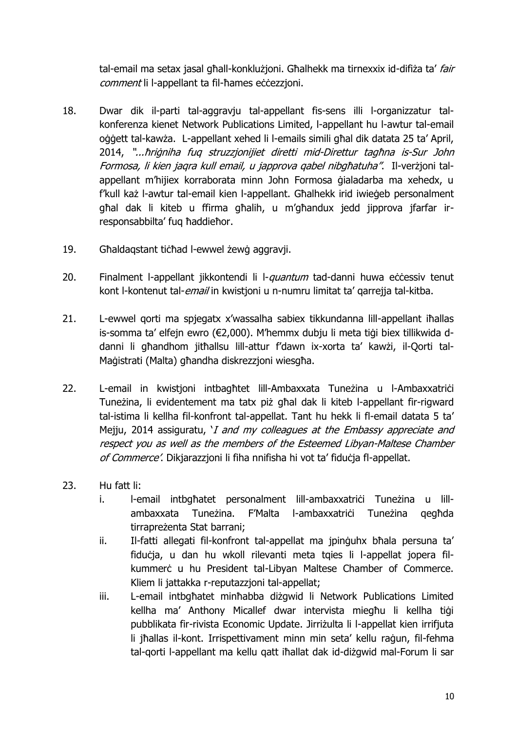tal-email ma setax jasal għall-konklużjoni. Għalhekk ma tirnexxix id-difiża ta' fair comment li l-appellant ta fil-ħames eċċezzjoni.

- 18. Dwar dik il-parti tal-aggravju tal-appellant fis-sens illi l-organizzatur talkonferenza kienet Network Publications Limited, l-appellant hu l-awtur tal-email oġġett tal-kawża. L-appellant xehed li l-emails simili għal dik datata 25 ta' April, 2014, "...ħriġniha fuq struzzjonijiet diretti mid-Direttur tagħna is-Sur John Formosa, li kien jaqra kull email, u japprova qabel nibgħatuha". Il-verżjoni talappellant m'hijiex korraborata minn John Formosa ġialadarba ma xehedx, u f'kull każ l-awtur tal-email kien l-appellant. Għalhekk irid iwieġeb personalment għal dak li kiteb u ffirma għalih, u m'għandux jedd jipprova jfarfar irresponsabbilta' fuq ħaddieħor.
- 19. Għaldaqstant tiċħad l-ewwel żewġ aggravji.
- 20. Finalment l-appellant jikkontendi li l-*quantum* tad-danni huwa eċċessiv tenut kont l-kontenut tal-*email* in kwistjoni u n-numru limitat ta' garrejja tal-kitba.
- 21. L-ewwel qorti ma spjegatx x'wassalha sabiex tikkundanna lill-appellant iħallas is-somma ta' elfejn ewro (€2,000). M'hemmx dubju li meta tiġi biex tillikwida ddanni li għandhom jitħallsu lill-attur f'dawn ix-xorta ta' kawżi, il-Qorti tal-Maġistrati (Malta) għandha diskrezzjoni wiesgħa.
- 22. L-email in kwistioni intbaghtet lill-Ambaxxata Tuneżina u l-Ambaxxatrići Tuneżina, li evidentement ma tatx piż għal dak li kiteb l-appellant fir-rigward tal-istima li kellha fil-konfront tal-appellat. Tant hu hekk li fl-email datata 5 ta' Mejju, 2014 assiguratu, 'I and my colleagues at the Embassy appreciate and respect you as well as the members of the Esteemed Libyan-Maltese Chamber of Commerce'. Dikjarazzjoni li fiha nnifisha hi vot ta' fiduċja fl-appellat.
- 23. Hu fatt li:
	- i. l-email intbgħatet personalment lill-ambaxxatrici Tuneżina u lillambaxxata Tuneżina. F'Malta l-ambaxxatrici Tuneżina gegħda tirrapreżenta Stat barrani;
	- ii. Il-fatti allegati fil-konfront tal-appellat ma jpinguhx bħala persuna ta' fiduċia, u dan hu wkoll rilevanti meta tqies li l-appellat jopera filkummerċ u hu President tal-Libyan Maltese Chamber of Commerce. Kliem li jattakka r-reputazzjoni tal-appellat;
	- iii. L-email intbgħatet minħabba diżgwid li Network Publications Limited kellha ma' Anthony Micallef dwar intervista miegħu li kellha tiġi pubblikata fir-rivista Economic Update. Jirriżulta li l-appellat kien irrifjuta li jħallas il-kont. Irrispettivament minn min seta' kellu raġun, fil-fehma tal-qorti l-appellant ma kellu qatt iħallat dak id-diżgwid mal-Forum li sar